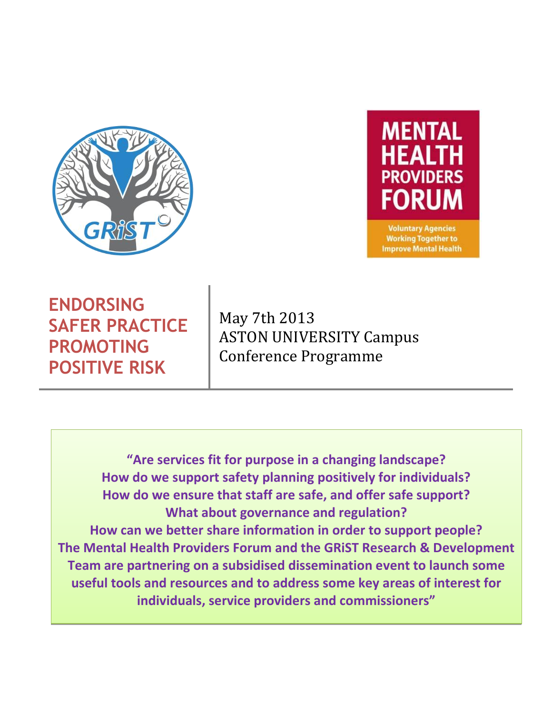



**Voluntary Agencies Working Together to Improve Mental Health** 

**ENDORSING SAFER PRACTICE PROMOTING POSITIVE RISK**

May 7th 2013 ASTON UNIVERSITY Campus Conference Programme

**"Are services fit for purpose in a changing landscape? How do we support safety planning positively for individuals? How do we ensure that staff are safe, and offer safe support? What about governance and regulation? How can we better share information in order to support people? The Mental Health Providers Forum and the GRiST Research & Development Team are partnering on a subsidised dissemination event to launch some useful tools and resources and to address some key areas of interest for individuals, service providers and commissioners"**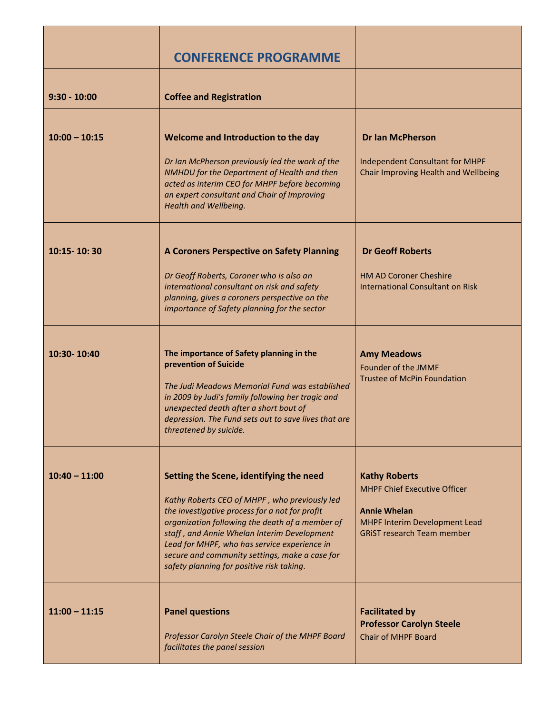|                 | <b>CONFERENCE PROGRAMME</b>                                                                                                                                                                                                                                                                                                                                                                 |                                                                                                                                                          |
|-----------------|---------------------------------------------------------------------------------------------------------------------------------------------------------------------------------------------------------------------------------------------------------------------------------------------------------------------------------------------------------------------------------------------|----------------------------------------------------------------------------------------------------------------------------------------------------------|
| $9:30 - 10:00$  | <b>Coffee and Registration</b>                                                                                                                                                                                                                                                                                                                                                              |                                                                                                                                                          |
| $10:00 - 10:15$ | Welcome and Introduction to the day<br>Dr Ian McPherson previously led the work of the<br>NMHDU for the Department of Health and then<br>acted as interim CEO for MHPF before becoming<br>an expert consultant and Chair of Improving<br>Health and Wellbeing.                                                                                                                              | <b>Dr Ian McPherson</b><br>Independent Consultant for MHPF<br>Chair Improving Health and Wellbeing                                                       |
| 10:15-10:30     | A Coroners Perspective on Safety Planning<br>Dr Geoff Roberts, Coroner who is also an<br>international consultant on risk and safety<br>planning, gives a coroners perspective on the<br>importance of Safety planning for the sector                                                                                                                                                       | <b>Dr Geoff Roberts</b><br><b>HM AD Coroner Cheshire</b><br><b>International Consultant on Risk</b>                                                      |
| 10:30-10:40     | The importance of Safety planning in the<br>prevention of Suicide<br>The Judi Meadows Memorial Fund was established<br>in 2009 by Judi's family following her tragic and<br>unexpected death after a short bout of<br>depression. The Fund sets out to save lives that are<br>threatened by suicide.                                                                                        | <b>Amy Meadows</b><br>Founder of the JMMF<br><b>Trustee of McPin Foundation</b>                                                                          |
| $10:40 - 11:00$ | Setting the Scene, identifying the need<br>Kathy Roberts CEO of MHPF, who previously led<br>the investigative process for a not for profit<br>organization following the death of a member of<br>staff, and Annie Whelan Interim Development<br>Lead for MHPF, who has service experience in<br>secure and community settings, make a case for<br>safety planning for positive risk taking. | <b>Kathy Roberts</b><br><b>MHPF Chief Executive Officer</b><br><b>Annie Whelan</b><br>MHPF Interim Development Lead<br><b>GRIST research Team member</b> |
| $11:00 - 11:15$ | <b>Panel questions</b><br>Professor Carolyn Steele Chair of the MHPF Board<br>facilitates the panel session                                                                                                                                                                                                                                                                                 | <b>Facilitated by</b><br><b>Professor Carolyn Steele</b><br><b>Chair of MHPF Board</b>                                                                   |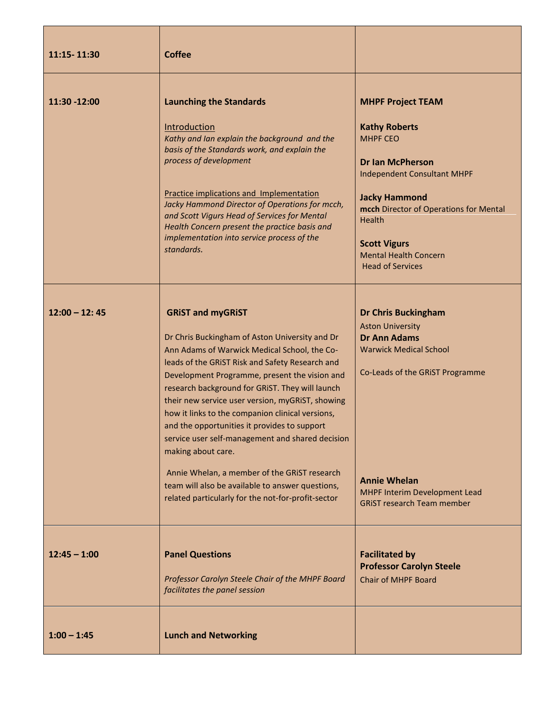| 11:15-11:30     | <b>Coffee</b>                                                                                                                                                                                                                                                                                                                                                                                                                                                                                                                                                                                                                                                                 |                                                                                                                                                                                                                                                                                                           |
|-----------------|-------------------------------------------------------------------------------------------------------------------------------------------------------------------------------------------------------------------------------------------------------------------------------------------------------------------------------------------------------------------------------------------------------------------------------------------------------------------------------------------------------------------------------------------------------------------------------------------------------------------------------------------------------------------------------|-----------------------------------------------------------------------------------------------------------------------------------------------------------------------------------------------------------------------------------------------------------------------------------------------------------|
| 11:30 -12:00    | <b>Launching the Standards</b><br>Introduction<br>Kathy and Ian explain the background and the<br>basis of the Standards work, and explain the<br>process of development<br><b>Practice implications and Implementation</b><br>Jacky Hammond Director of Operations for mcch,<br>and Scott Vigurs Head of Services for Mental<br>Health Concern present the practice basis and<br>implementation into service process of the<br>standards.                                                                                                                                                                                                                                    | <b>MHPF Project TEAM</b><br><b>Kathy Roberts</b><br><b>MHPF CEO</b><br><b>Dr Ian McPherson</b><br><b>Independent Consultant MHPF</b><br><b>Jacky Hammond</b><br>mcch Director of Operations for Mental<br><b>Health</b><br><b>Scott Vigurs</b><br><b>Mental Health Concern</b><br><b>Head of Services</b> |
| $12:00 - 12:45$ | <b>GRIST and myGRIST</b><br>Dr Chris Buckingham of Aston University and Dr<br>Ann Adams of Warwick Medical School, the Co-<br>leads of the GRIST Risk and Safety Research and<br>Development Programme, present the vision and<br>research background for GRIST. They will launch<br>their new service user version, myGRiST, showing<br>how it links to the companion clinical versions,<br>and the opportunities it provides to support<br>service user self-management and shared decision<br>making about care.<br>Annie Whelan, a member of the GRIST research<br>team will also be available to answer questions,<br>related particularly for the not-for-profit-sector | <b>Dr Chris Buckingham</b><br><b>Aston University</b><br><b>Dr Ann Adams</b><br><b>Warwick Medical School</b><br>Co-Leads of the GRIST Programme<br><b>Annie Whelan</b><br>MHPF Interim Development Lead<br><b>GRIST research Team member</b>                                                             |
| $12:45 - 1:00$  | <b>Panel Questions</b><br>Professor Carolyn Steele Chair of the MHPF Board<br>facilitates the panel session                                                                                                                                                                                                                                                                                                                                                                                                                                                                                                                                                                   | <b>Facilitated by</b><br><b>Professor Carolyn Steele</b><br><b>Chair of MHPF Board</b>                                                                                                                                                                                                                    |
| $1:00 - 1:45$   | <b>Lunch and Networking</b>                                                                                                                                                                                                                                                                                                                                                                                                                                                                                                                                                                                                                                                   |                                                                                                                                                                                                                                                                                                           |